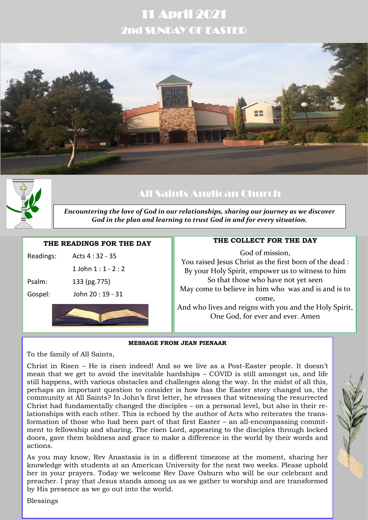# 11 April 2021 2nd SUNDAY OF EASTER





# All Saints Anglican Church

*Encountering the love of God in our relationships, sharing our journey as we discover God in the plan and learning to trust God in and for every situation.*

### **THE READINGS FOR THE DAY**

| Gospel:   | John 20 : 19 - 31  |  |
|-----------|--------------------|--|
| Psalm:    | 133 (pg.775)       |  |
|           | 1 John $1:1 - 2:2$ |  |
| Readings: | Acts 4 : 32 - 35   |  |

# **THE COLLECT FOR THE DAY**

God of mission, You raised Jesus Christ as the first born of the dead : By your Holy Spirit, empower us to witness to him So that those who have not yet seen May come to believe in him who was and is and is to come, And who lives and reigns with you and the Holy Spirit, One God, for ever and ever. Amen

#### **MESSAGE FROM JEAN PIENAAR**

To the family of All Saints,

Christ in Risen – He is risen indeed! And so we live as a Post-Easter people. It doesn't mean that we get to avoid the inevitable hardships – COVID is still amongst us, and life still happens, with various obstacles and challenges along the way. In the midst of all this, perhaps an important question to consider is how has the Easter story changed us, the community at All Saints? In John's first letter, he stresses that witnessing the resurrected Christ had fundamentally changed the disciples – on a personal level, but also in their relationships with each other. This is echoed by the author of Acts who reiterates the transformation of those who had been part of that first Easter – an all-encompassing commitment to fellowship and sharing. The risen Lord, appearing to the disciples through locked doors, gave them boldness and grace to make a difference in the world by their words and actions.

As you may know, Rev Anastasia is in a different timezone at the moment, sharing her knowledge with students at an American University for the next two weeks. Please uphold her in your prayers. Today we welcome Rev Dave Osburn who will be our celebrant and preacher. I pray that Jesus stands among us as we gather to worship and are transformed by His presence as we go out into the world.

Blessings